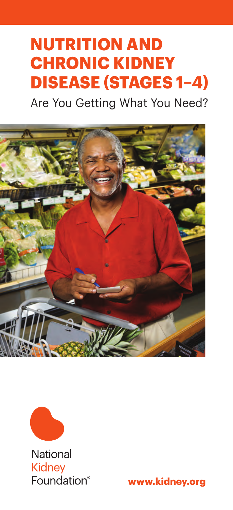# **Nutrition and Chronic Kidney Disease (Stages 1–4)**

Are You Getting What You Need?





**National Kidney** Foundation®

**www.kidney.org**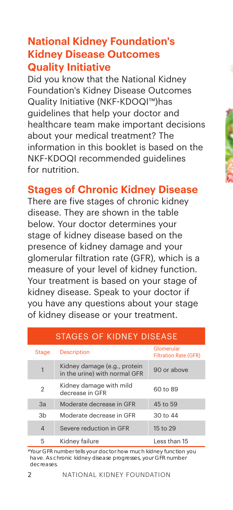#### **National Kidney Foundation's Kidney Disease Outcomes Quality Initiative**

Did you know that the National Kidney Foundation's Kidney Disease Outcomes Quality Initiative (NKF-KDOQI™)has guidelines that help your doctor and healthcare team make important decisions about your medical treatment? The information in this booklet is based on the NKF-KDOQI recommended guidelines for nutrition.

#### **Stages of Chronic Kidney Disease**

There are five stages of chronic kidney disease. They are shown in the table below. Your doctor determines your stage of kidney disease based on the presence of kidney damage and your glomerular filtration rate (GFR), which is a measure of your level of kidney function. Your treatment is based on your stage of kidney disease. Speak to your doctor if you have any questions about your stage of kidney disease or your treatment.

| STAGES OF KIDNEY DISEASE |                                                               |                                            |  |  |
|--------------------------|---------------------------------------------------------------|--------------------------------------------|--|--|
| <b>Stage</b>             | <b>Description</b>                                            | Glomerular<br><b>Filtration Rate (GFR)</b> |  |  |
| 1                        | Kidney damage (e.g., protein<br>in the urine) with normal GFR | 90 or above                                |  |  |
| $\overline{2}$           | Kidney damage with mild<br>decrease in GFR                    | 60 to 89                                   |  |  |
| 3a                       | Moderate decrease in GFR                                      | 45 to 59                                   |  |  |
| 3 <sub>b</sub>           | Moderate decrease in GFR                                      | 30 to 44                                   |  |  |
| $\overline{4}$           | Severe reduction in GFR                                       | 15 to 29                                   |  |  |
| 5                        | Kidney failure                                                | Less than 15                               |  |  |

\*Your GFR number tells your doctor how much kidney function you have. As chronic kidney disease progresses, your GFR number decreases.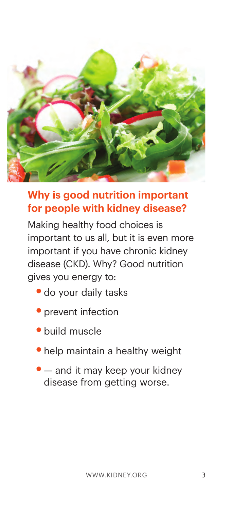

### **Why is good nutrition important for people with kidney disease?**

Making healthy food choices is important to us all, but it is even more important if you have chronic kidney disease (CKD). Why? Good nutrition gives you energy to:

- **•**do your daily tasks
- prevent infection
- **•**build muscle
- **•**help maintain a healthy weight
- — and it may keep your kidney disease from getting worse.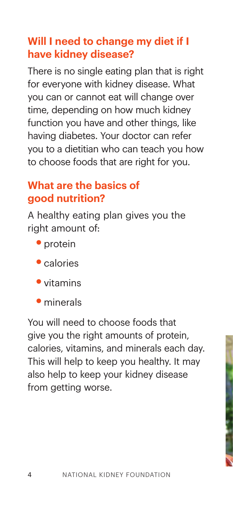# **Will I need to change my diet if I have kidney disease?**

There is no single eating plan that is right for everyone with kidney disease. What you can or cannot eat will change over time, depending on how much kidney function you have and other things, like having diabetes. Your doctor can refer you to a dietitian who can teach you how to choose foods that are right for you.

# **What are the basics of good nutrition?**

A healthy eating plan gives you the right amount of:

- protein
- **•**calories
- **•**vitamins
- **•**minerals

You will need to choose foods that give you the right amounts of protein, calories, vitamins, and minerals each day. This will help to keep you healthy. It may also help to keep your kidney disease from getting worse.

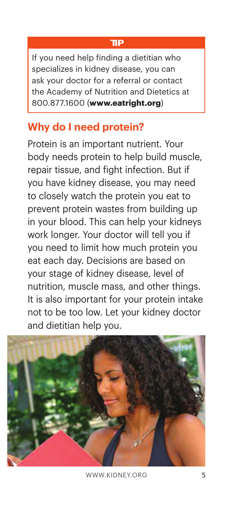#### **TIP**

If you need help finding a dietitian who specializes in kidney disease, you can ask your doctor for a referral or contact the Academy of Nutrition and Dietetics at 800.877.1600 (**www.eatright.org**)

# **Why do I need protein?**

Protein is an important nutrient. Your body needs protein to help build muscle, repair tissue, and fight infection. But if you have kidney disease, you may need to closely watch the protein you eat to prevent protein wastes from building up in your blood. This can help your kidneys work longer. Your doctor will tell you if you need to limit how much protein you eat each day. Decisions are based on your stage of kidney disease, level of nutrition, muscle mass, and other things. It is also important for your protein intake not to be too low. Let your kidney doctor and dietitian help you.



www.kidney.org 5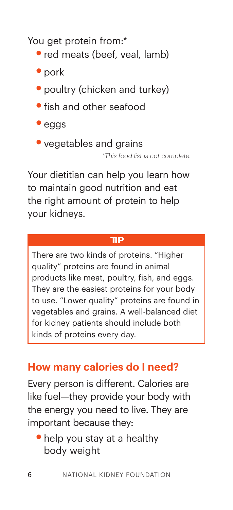You get protein from:\*

- **•**red meats (beef, veal, lamb)
- pork
- poultry (chicken and turkey)
- **•**fish and other seafood
- **•**eggs
- vegetables and grains

*\*This food list is not complete.*

Your dietitian can help you learn how to maintain good nutrition and eat the right amount of protein to help your kidneys.

#### **TIP**

There are two kinds of proteins. "Higher quality" proteins are found in animal products like meat, poultry, fish, and eggs. They are the easiest proteins for your body to use. "Lower quality" proteins are found in vegetables and grains. A well-balanced diet for kidney patients should include both kinds of proteins every day.

#### **How many calories do I need?**

Every person is different. Calories are like fuel—they provide your body with the energy you need to live. They are important because they:

**•**help you stay at a healthy body weight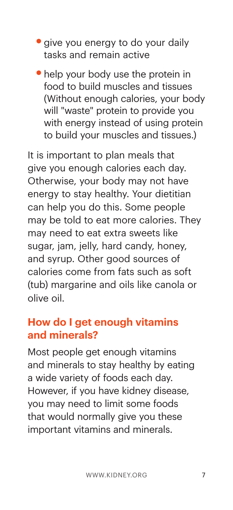- **•**give you energy to do your daily tasks and remain active
- help your body use the protein in food to build muscles and tissues (Without enough calories, your body will "waste" protein to provide you with energy instead of using protein to build your muscles and tissues.)

It is important to plan meals that give you enough calories each day. Otherwise, your body may not have energy to stay healthy. Your dietitian can help you do this. Some people may be told to eat more calories. They may need to eat extra sweets like sugar, jam, jelly, hard candy, honey, and syrup. Other good sources of calories come from fats such as soft (tub) margarine and oils like canola or olive oil.

#### **How do I get enough vitamins and minerals?**

Most people get enough vitamins and minerals to stay healthy by eating a wide variety of foods each day. However, if you have kidney disease, you may need to limit some foods that would normally give you these important vitamins and minerals.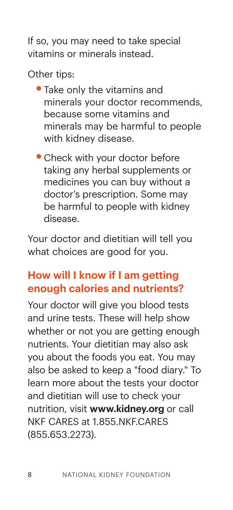If so, you may need to take special vitamins or minerals instead.

Other tips:

- **•**Take only the vitamins and minerals your doctor recommends, because some vitamins and minerals may be harmful to people with kidney disease.
- **•**Check with your doctor before taking any herbal supplements or medicines you can buy without a doctor's prescription. Some may be harmful to people with kidney disease.

Your doctor and dietitian will tell you what choices are good for you.

# **How will I know if I am getting enough calories and nutrients?**

Your doctor will give you blood tests and urine tests. These will help show whether or not you are getting enough nutrients. Your dietitian may also ask you about the foods you eat. You may also be asked to keep a "food diary." To learn more about the tests your doctor and dietitian will use to check your nutrition, visit **www.kidney.org** or call NKF CARES at 1.855.NKF.CARES (855.653.2273).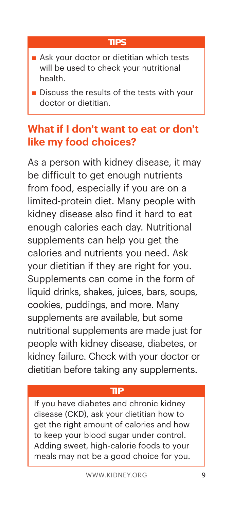#### **TIPS**

- **n** Ask your doctor or dietitian which tests will be used to check your nutritional health.
- $\blacksquare$  Discuss the results of the tests with your doctor or dietitian.

# **What if I don't want to eat or don't like my food choices?**

As a person with kidney disease, it may be difficult to get enough nutrients from food, especially if you are on a limited-protein diet. Many people with kidney disease also find it hard to eat enough calories each day. Nutritional supplements can help you get the calories and nutrients you need. Ask your dietitian if they are right for you. Supplements can come in the form of liquid drinks, shakes, juices, bars, soups, cookies, puddings, and more. Many supplements are available, but some nutritional supplements are made just for people with kidney disease, diabetes, or kidney failure. Check with your doctor or dietitian before taking any supplements.

#### **TIP**

If you have diabetes and chronic kidney disease (CKD), ask your dietitian how to get the right amount of calories and how to keep your blood sugar under control. Adding sweet, high-calorie foods to your meals may not be a good choice for you.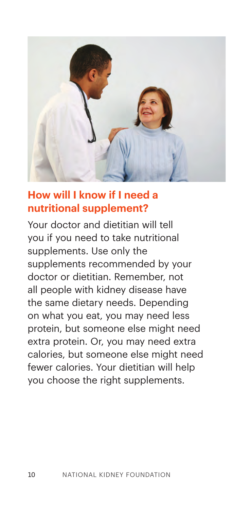

#### **How will I know if I need a nutritional supplement?**

Your doctor and dietitian will tell you if you need to take nutritional supplements. Use only the supplements recommended by your doctor or dietitian. Remember, not all people with kidney disease have the same dietary needs. Depending on what you eat, you may need less protein, but someone else might need extra protein. Or, you may need extra calories, but someone else might need fewer calories. Your dietitian will help you choose the right supplements.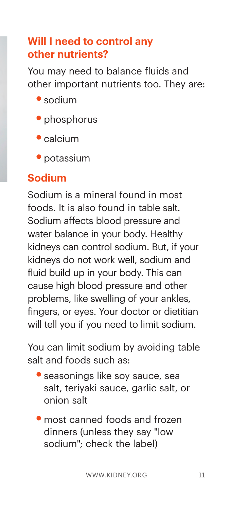# **Will I need to control any other nutrients?**

You may need to balance fluids and other important nutrients too. They are:

- **•**sodium
- **•**phosphorus
- **•**calcium
- **•**potassium

### **Sodium**

Sodium is a mineral found in most foods. It is also found in table salt. Sodium affects blood pressure and water balance in your body. Healthy kidneys can control sodium. But, if your kidneys do not work well, sodium and fluid build up in your body. This can cause high blood pressure and other problems, like swelling of your ankles, fingers, or eyes. Your doctor or dietitian will tell you if you need to limit sodium.

You can limit sodium by avoiding table salt and foods such as:

- **•**seasonings like soy sauce, sea salt, teriyaki sauce, garlic salt, or onion salt
- most canned foods and frozen dinners (unless they say "low sodium"; check the label)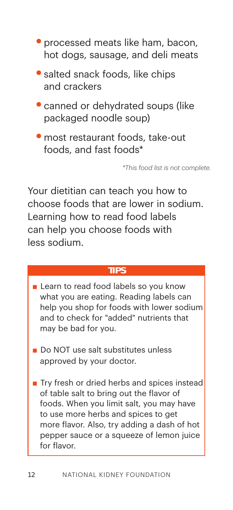- **•**processed meats like ham, bacon, hot dogs, sausage, and deli meats
- **•**salted snack foods, like chips and crackers
- **•**canned or dehydrated soups (like packaged noodle soup)
- **•**most restaurant foods, take-out foods, and fast foods\*

*\*This food list is not complete.*

Your dietitian can teach you how to choose foods that are lower in sodium. Learning how to read food labels can help you choose foods with less sodium.

#### **TIPS**

- Learn to read food labels so you know what you are eating. Reading labels can help you shop for foods with lower sodium and to check for "added" nutrients that may be bad for you.
- Do NOT use salt substitutes unless approved by your doctor.
- $\blacksquare$  Try fresh or dried herbs and spices instead of table salt to bring out the flavor of foods. When you limit salt, you may have to use more herbs and spices to get more flavor. Also, try adding a dash of hot pepper sauce or a squeeze of lemon juice for flavor.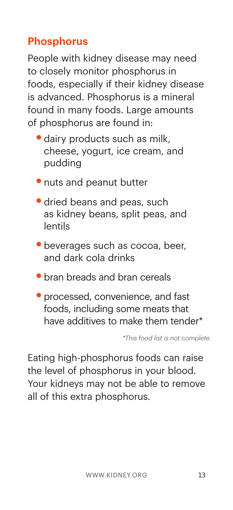# **Phosphorus**

People with kidney disease may need to closely monitor phosphorus in foods, especially if their kidney disease is advanced. Phosphorus is a mineral found in many foods. Large amounts of phosphorus are found in:

- **•**dairy products such as milk, cheese, yogurt, ice cream, and pudding
- **•**nuts and peanut butter
- **•**dried beans and peas, such as kidney beans, split peas, and lentils
- **•**beverages such as cocoa, beer, and dark cola drinks
- **•**bran breads and bran cereals
- **•**processed, convenience, and fast foods, including some meats that have additives to make them tender\*

*\*This food list is not complete.*

Eating high-phosphorus foods can raise the level of phosphorus in your blood. Your kidneys may not be able to remove all of this extra phosphorus.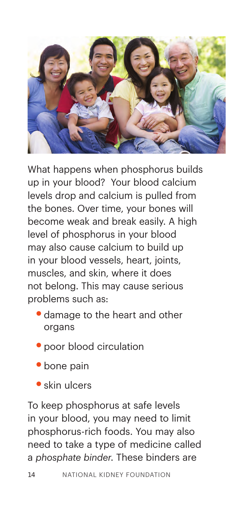

What happens when phosphorus builds up in your blood? Your blood calcium levels drop and calcium is pulled from the bones. Over time, your bones will become weak and break easily. A high level of phosphorus in your blood may also cause calcium to build up in your blood vessels, heart, joints, muscles, and skin, where it does not belong. This may cause serious problems such as:

- **•**damage to the heart and other organs
- **•**poor blood circulation
- **•**bone pain
- **•**skin ulcers

To keep phosphorus at safe levels in your blood, you may need to limit phosphorus-rich foods. You may also need to take a type of medicine called a *phosphate binder*. These binders are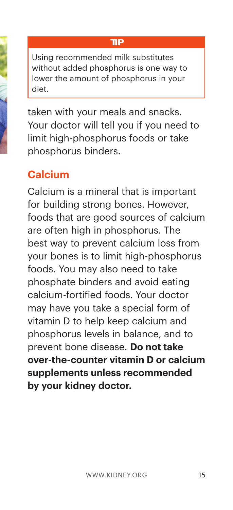#### **TIP**

Using recommended milk substitutes without added phosphorus is one way to lower the amount of phosphorus in your diet.

taken with your meals and snacks. Your doctor will tell you if you need to limit high-phosphorus foods or take phosphorus binders.

### **Calcium**

Calcium is a mineral that is important for building strong bones. However, foods that are good sources of calcium are often high in phosphorus. The best way to prevent calcium loss from your bones is to limit high-phosphorus foods. You may also need to take phosphate binders and avoid eating calcium-fortified foods. Your doctor may have you take a special form of vitamin D to help keep calcium and phosphorus levels in balance, and to prevent bone disease. **Do not take over-the-counter vitamin D or calcium supplements unless recommended by your kidney doctor.**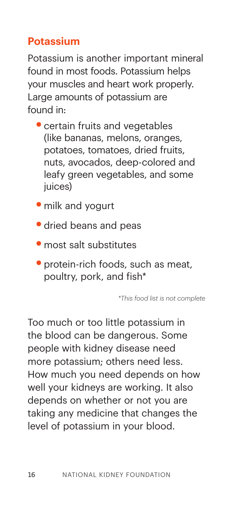# **Potassium**

Potassium is another important mineral found in most foods. Potassium helps your muscles and heart work properly. Large amounts of potassium are found in:

- **•**certain fruits and vegetables (like bananas, melons, oranges, potatoes, tomatoes, dried fruits, nuts, avocados, deep-colored and leafy green vegetables, and some juices)
- **•**milk and yogurt
- **•**dried beans and peas
- **•**most salt substitutes
- protein-rich foods, such as meat, poultry, pork, and fish\*

*\*This food list is not complete*

Too much or too little potassium in the blood can be dangerous. Some people with kidney disease need more potassium; others need less. How much you need depends on how well your kidneys are working. It also depends on whether or not you are taking any medicine that changes the level of potassium in your blood.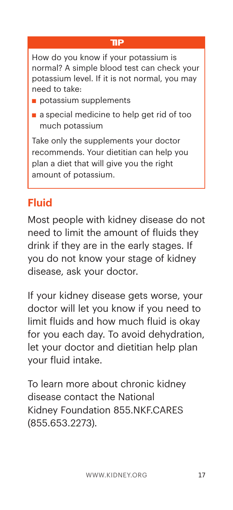#### **TIP**

How do you know if your potassium is normal? A simple blood test can check your potassium level. If it is not normal, you may need to take:

- $\blacksquare$  potassium supplements
- $\blacksquare$  a special medicine to help get rid of too much potassium

Take only the supplements your doctor recommends. Your dietitian can help you plan a diet that will give you the right amount of potassium.

# **Fluid**

Most people with kidney disease do not need to limit the amount of fluids they drink if they are in the early stages. If you do not know your stage of kidney disease, ask your doctor.

If your kidney disease gets worse, your doctor will let you know if you need to limit fluids and how much fluid is okay for you each day. To avoid dehydration, let your doctor and dietitian help plan your fluid intake.

To learn more about chronic kidney disease contact the National Kidney Foundation 855.NKF.CARES (855.653.2273).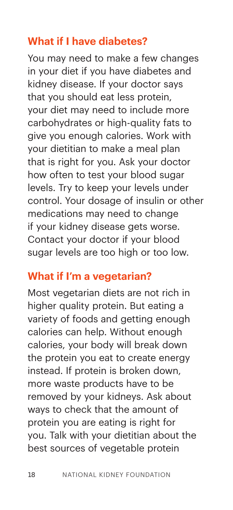#### **What if I have diabetes?**

You may need to make a few changes in your diet if you have diabetes and kidney disease. If your doctor says that you should eat less protein, your diet may need to include more carbohydrates or high-quality fats to give you enough calories. Work with your dietitian to make a meal plan that is right for you. Ask your doctor how often to test your blood sugar levels. Try to keep your levels under control. Your dosage of insulin or other medications may need to change if your kidney disease gets worse. Contact your doctor if your blood sugar levels are too high or too low.

#### **What if I'm a vegetarian?**

Most vegetarian diets are not rich in higher quality protein. But eating a variety of foods and getting enough calories can help. Without enough calories, your body will break down the protein you eat to create energy instead. If protein is broken down, more waste products have to be removed by your kidneys. Ask about ways to check that the amount of protein you are eating is right for you. Talk with your dietitian about the best sources of vegetable protein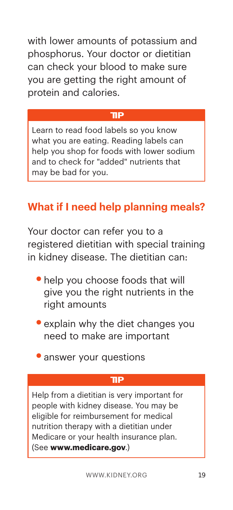with lower amounts of potassium and phosphorus. Your doctor or dietitian can check your blood to make sure you are getting the right amount of protein and calories.

#### **TIP**

Learn to read food labels so you know what you are eating. Reading labels can help you shop for foods with lower sodium and to check for "added" nutrients that may be bad for you.

# **What if I need help planning meals?**

Your doctor can refer you to a registered dietitian with special training in kidney disease. The dietitian can:

- **•**help you choose foods that will give you the right nutrients in the right amounts
- explain why the diet changes you need to make are important
- **•**answer your questions

#### **TIP**

Help from a dietitian is very important for people with kidney disease. You may be eligible for reimbursement for medical nutrition therapy with a dietitian under Medicare or your health insurance plan. (See **www.medicare.gov**.)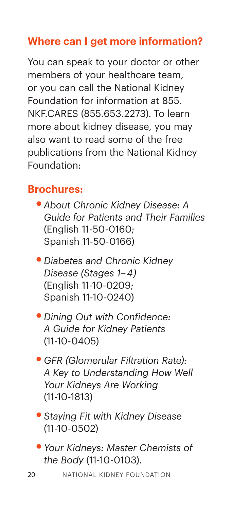# **Where can I get more information?**

You can speak to your doctor or other members of your healthcare team, or you can call the National Kidney Foundation for information at 855. NKF.CARES (855.653.2273). To learn more about kidney disease, you may also want to read some of the free publications from the National Kidney Foundation:

### **Brochures:**

- **•***About Chronic Kidney Disease: A Guide for Patients and Their Families*  (English 11-50-0160; Spanish 11-50-0166)
- **•***Diabetes and Chronic Kidney Disease (Stages 1–4)*  (English 11-10-0209; Spanish 11-10-0240)
- **•***Dining Out with Confidence: A Guide for Kidney Patients* (11-10-0405)
- **•***GFR (Glomerular Filtration Rate): A Key to Understanding How Well Your Kidneys Are Working*  (11-10-1813)
- **•***Staying Fit with Kidney Disease*  (11-10-0502)
- **•***Your Kidneys: Master Chemists of the Body* (11-10-0103).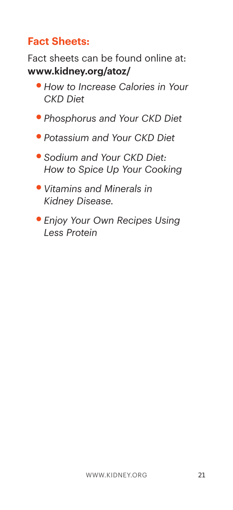# **Fact Sheets:**

Fact sheets can be found online at: **www.kidney.org/atoz/**

- **•***How to Increase Calories in Your CKD Diet*
- **•***Phosphorus and Your CKD Diet*
- **•***Potassium and Your CKD Diet*
- **•***Sodium and Your CKD Diet: How to Spice Up Your Cooking*
- **•***Vitamins and Minerals in Kidney Disease.*
- **•***Enjoy Your Own Recipes Using Less Protein*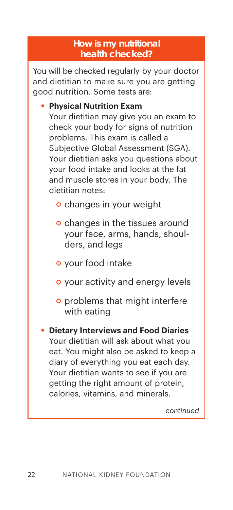#### **How is my nutritional health checked?**

You will be checked regularly by your doctor and dietitian to make sure you are getting good nutrition. Some tests are:

**• Physical Nutrition Exam**

Your dietitian may give you an exam to check your body for signs of nutrition problems. This exam is called a Subjective Global Assessment (SGA). Your dietitian asks you questions about your food intake and looks at the fat and muscle stores in your body. The dietitian notes:

- o changes in your weight
- **o** changes in the tissues around your face, arms, hands, shoulders, and legs
- your food intake
- **o** your activity and energy levels
- **o** problems that might interfere with eating
- **• Dietary Interviews and Food Diaries**  Your dietitian will ask about what you eat. You might also be asked to keep a diary of everything you eat each day. Your dietitian wants to see if you are getting the right amount of protein, calories, vitamins, and minerals.

*continued*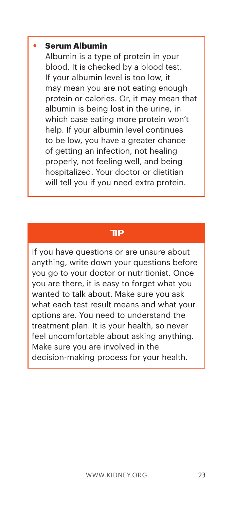#### **• Serum Albumin**

Albumin is a type of protein in your blood. It is checked by a blood test. If your albumin level is too low, it may mean you are not eating enough protein or calories. Or, it may mean that albumin is being lost in the urine, in which case eating more protein won't help. If your albumin level continues to be low, you have a greater chance of getting an infection, not healing properly, not feeling well, and being hospitalized. Your doctor or dietitian will tell you if you need extra protein.

#### **TIP**

If you have questions or are unsure about anything, write down your questions before you go to your doctor or nutritionist. Once you are there, it is easy to forget what you wanted to talk about. Make sure you ask what each test result means and what your options are. You need to understand the treatment plan. It is your health, so never feel uncomfortable about asking anything. Make sure you are involved in the decision-making process for your health.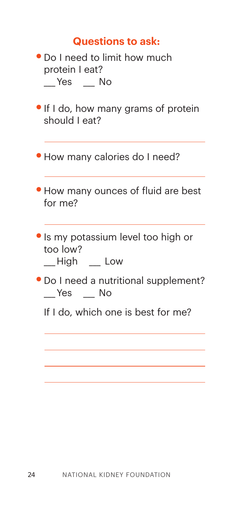#### **Questions to ask:**

- **•**Do I need to limit how much protein I eat? \_\_\_ Yes \_\_\_ No
- **•**If I do, how many grams of protein should I eat?
- **•**How many calories do I need?
- **•**How many ounces of fluid are best for me?
- **•**Is my potassium level too high or too low?

\_\_\_ High \_\_\_ Low

- **•**Do I need a nutritional supplement? \_\_\_ Yes \_\_\_ No
	- If I do, which one is best for me?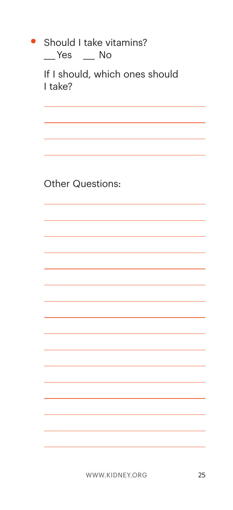| Should I take vitamins?<br>$P$ Yes $P$ No |
|-------------------------------------------|
| If I should, which ones should<br>I take? |
|                                           |
|                                           |
|                                           |
| Other Questions:                          |
|                                           |
|                                           |
|                                           |
|                                           |
|                                           |
|                                           |
|                                           |
|                                           |
|                                           |
|                                           |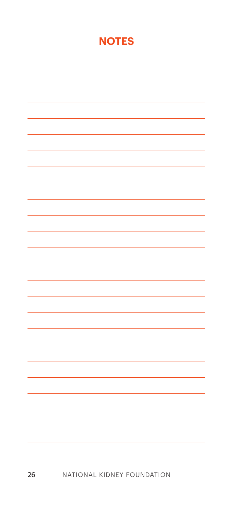#### **NOTES**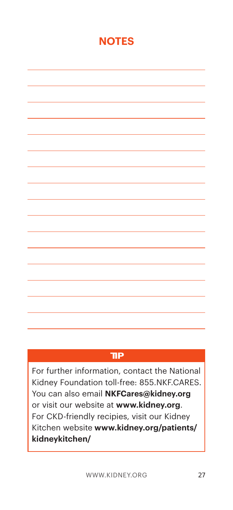#### **NOTES**

# **TIP**

For further information, contact the National Kidney Foundation toll-free: 855.NKF.CARES. You can also email **NKFCares@kidney.org** or visit our website at **www.kidney.org**. For CKD-friendly recipies, visit our Kidney Kitchen website **www.kidney.org/patients/ kidneykitchen/**